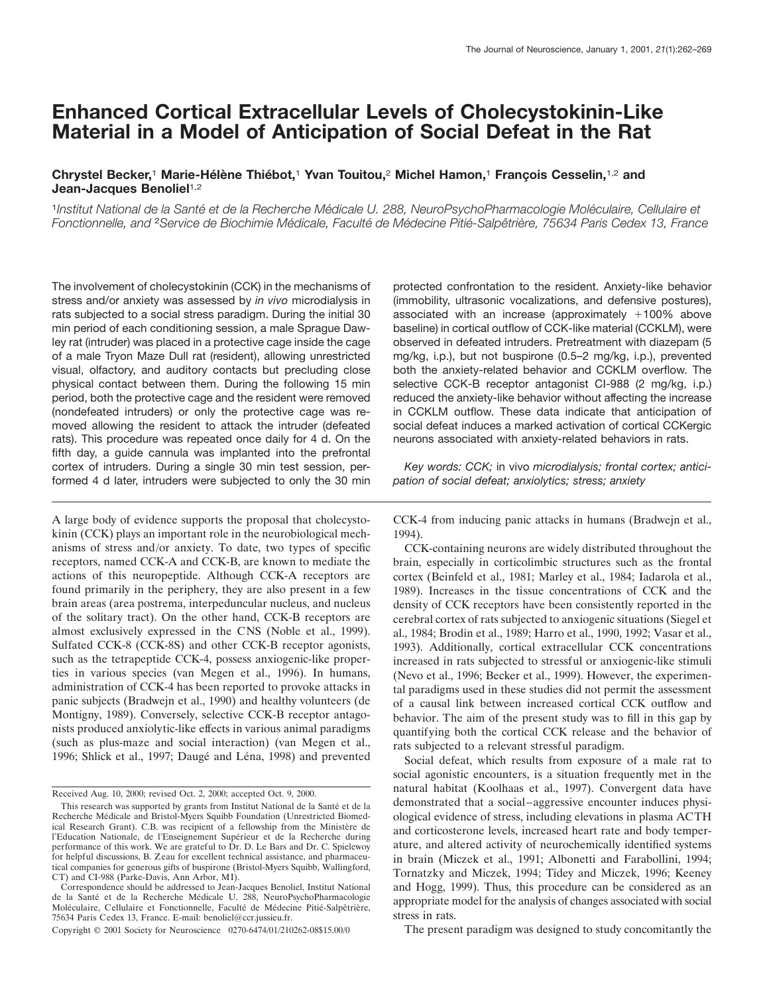# **Enhanced Cortical Extracellular Levels of Cholecystokinin-Like Material in a Model of Anticipation of Social Defeat in the Rat**

# **Chrystel Becker,<sup>1</sup> Marie-Hélène Thiébot,<sup>1</sup> Yvan Touitou,<sup>2</sup> Michel Hamon,<sup>1</sup> François Cesselin,<sup>1,2</sup> and Jean-Jacques Benoliel**1,2

<sup>1</sup>Institut National de la Santé et de la Recherche Médicale U. 288, NeuroPsychoPharmacologie Moléculaire, Cellulaire et *Fonctionnelle, and <sup>2</sup>Service de Biochimie Médicale, Faculté de Médecine Pitié-Salpêtrière, 75634 Paris Cedex 13, France* 

The involvement of cholecystokinin (CCK) in the mechanisms of stress and/or anxiety was assessed by *in vivo* microdialysis in rats subjected to a social stress paradigm. During the initial 30 min period of each conditioning session, a male Sprague Dawley rat (intruder) was placed in a protective cage inside the cage of a male Tryon Maze Dull rat (resident), allowing unrestricted visual, olfactory, and auditory contacts but precluding close physical contact between them. During the following 15 min period, both the protective cage and the resident were removed (nondefeated intruders) or only the protective cage was removed allowing the resident to attack the intruder (defeated rats). This procedure was repeated once daily for 4 d. On the fifth day, a guide cannula was implanted into the prefrontal cortex of intruders. During a single 30 min test session, performed 4 d later, intruders were subjected to only the 30 min

A large body of evidence supports the proposal that cholecystokinin (CCK) plays an important role in the neurobiological mechanisms of stress and/or anxiety. To date, two types of specific receptors, named CCK-A and CCK-B, are known to mediate the actions of this neuropeptide. Although CCK-A receptors are found primarily in the periphery, they are also present in a few brain areas (area postrema, interpeduncular nucleus, and nucleus of the solitary tract). On the other hand, CCK-B receptors are almost exclusively expressed in the CNS (Noble et al., 1999). Sulfated CCK-8 (CCK-8S) and other CCK-B receptor agonists, such as the tetrapeptide CCK-4, possess anxiogenic-like properties in various species (van Megen et al., 1996). In humans, administration of CCK-4 has been reported to provoke attacks in panic subjects (Bradwejn et al., 1990) and healthy volunteers (de Montigny, 1989). Conversely, selective CCK-B receptor antagonists produced anxiolytic-like effects in various animal paradigms (such as plus-maze and social interaction) (van Megen et al., 1996; Shlick et al., 1997; Daugé and Léna, 1998) and prevented

Copyright © 2001 Society for Neuroscience 0270-6474/01/210262-08\$15.00/0

protected confrontation to the resident. Anxiety-like behavior (immobility, ultrasonic vocalizations, and defensive postures), associated with an increase (approximately  $+100\%$  above baseline) in cortical outflow of CCK-like material (CCKLM), were observed in defeated intruders. Pretreatment with diazepam (5 mg/kg, i.p.), but not buspirone (0.5–2 mg/kg, i.p.), prevented both the anxiety-related behavior and CCKLM overflow. The selective CCK-B receptor antagonist CI-988 (2 mg/kg, i.p.) reduced the anxiety-like behavior without affecting the increase in CCKLM outflow. These data indicate that anticipation of social defeat induces a marked activation of cortical CCKergic neurons associated with anxiety-related behaviors in rats.

*Key words: CCK;* in vivo *microdialysis; frontal cortex; anticipation of social defeat; anxiolytics; stress; anxiety*

CCK-4 from inducing panic attacks in humans (Bradwejn et al., 1994).

CCK-containing neurons are widely distributed throughout the brain, especially in corticolimbic structures such as the frontal cortex (Beinfeld et al., 1981; Marley et al., 1984; Iadarola et al., 1989). Increases in the tissue concentrations of CCK and the density of CCK receptors have been consistently reported in the cerebral cortex of rats subjected to anxiogenic situations (Siegel et al., 1984; Brodin et al., 1989; Harro et al., 1990, 1992; Vasar et al., 1993). Additionally, cortical extracellular CCK concentrations increased in rats subjected to stressful or anxiogenic-like stimuli (Nevo et al., 1996; Becker et al., 1999). However, the experimental paradigms used in these studies did not permit the assessment of a causal link between increased cortical CCK outflow and behavior. The aim of the present study was to fill in this gap by quantifying both the cortical CCK release and the behavior of rats subjected to a relevant stressful paradigm.

Social defeat, which results from exposure of a male rat to social agonistic encounters, is a situation frequently met in the natural habitat (Koolhaas et al., 1997). Convergent data have demonstrated that a social–aggressive encounter induces physiological evidence of stress, including elevations in plasma ACTH and corticosterone levels, increased heart rate and body temperature, and altered activity of neurochemically identified systems in brain (Miczek et al., 1991; Albonetti and Farabollini, 1994; Tornatzky and Miczek, 1994; Tidey and Miczek, 1996; Keeney and Hogg, 1999). Thus, this procedure can be considered as an appropriate model for the analysis of changes associated with social stress in rats.

The present paradigm was designed to study concomitantly the

Received Aug. 10, 2000; revised Oct. 2, 2000; accepted Oct. 9, 2000.

This research was supported by grants from Institut National de la Santé et de la Recherche Médicale and Bristol-Myers Squibb Foundation (Unrestricted Biomedical Research Grant). C.B. was recipient of a fellowship from the Ministère de l'Education Nationale, de l'Enseignement Supérieur et de la Recherche during performance of this work. We are grateful to Dr. D. Le Bars and Dr. C. Spielewoy for helpful discussions, B. Zeau for excellent technical assistance, and pharmaceutical companies for generous gifts of buspirone (Bristol-Myers Squibb, Wallingford, CT) and CI-988 (Parke-Davis, Ann Arbor, MI).

Correspondence should be addressed to Jean-Jacques Benoliel, Institut National de la Santé et de la Recherche Médicale U. 288, NeuroPsychoPharmacologie Moléculaire, Cellulaire et Fonctionnelle, Faculté de Médecine Pitié-Salpêtrière, 75634 Paris Cedex 13, France. E-mail: benoliel@ccr.jussieu.fr.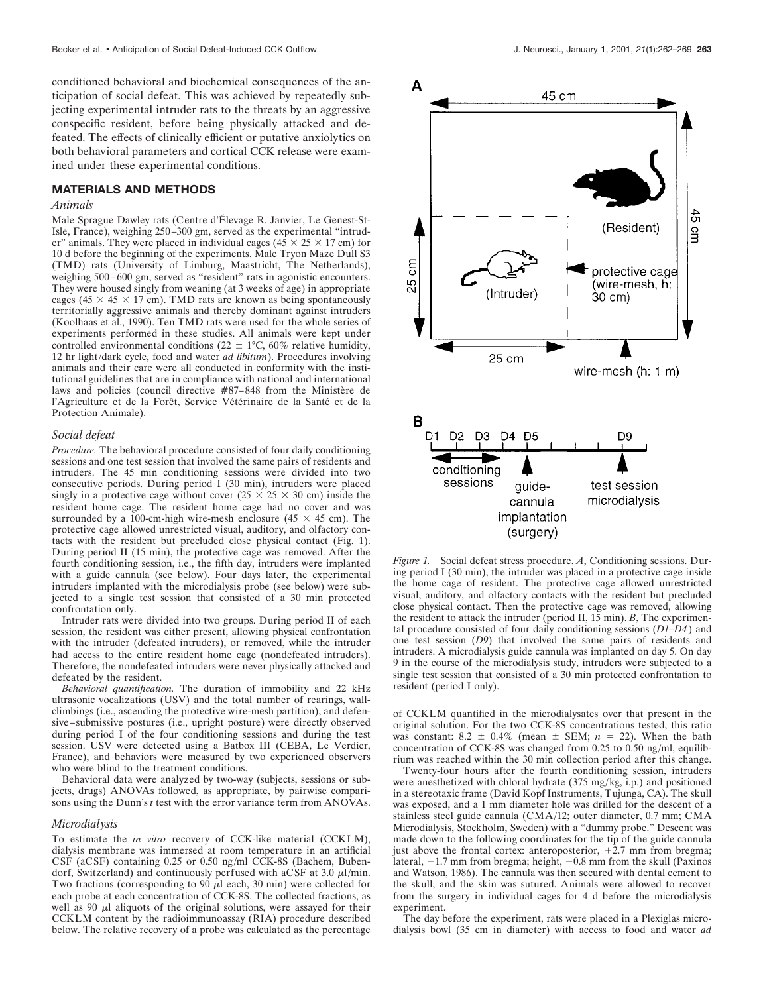conditioned behavioral and biochemical consequences of the anticipation of social defeat. This was achieved by repeatedly subjecting experimental intruder rats to the threats by an aggressive conspecific resident, before being physically attacked and defeated. The effects of clinically efficient or putative anxiolytics on both behavioral parameters and cortical CCK release were examined under these experimental conditions.

#### **MATERIALS AND METHODS**

#### *Animals*

Male Sprague Dawley rats (Centre d'Élevage R. Janvier, Le Genest-St-Isle, France), weighing 250–300 gm, served as the experimental "intruder" animals. They were placed in individual cages ( $45 \times 25 \times 17$  cm) for 10 d before the beginning of the experiments. Male Tryon Maze Dull S3 (TMD) rats (University of Limburg, Maastricht, The Netherlands), weighing 500–600 gm, served as "resident" rats in agonistic encounters. They were housed singly from weaning (at 3 weeks of age) in appropriate cages (45  $\times$  45  $\times$  17 cm). TMD rats are known as being spontaneously territorially aggressive animals and thereby dominant against intruders (Koolhaas et al., 1990). Ten TMD rats were used for the whole series of experiments performed in these studies. All animals were kept under controlled environmental conditions (22  $\pm$  1°C, 60% relative humidity, 12 hr light/dark cycle, food and water *ad libitum*). Procedures involving animals and their care were all conducted in conformity with the institutional guidelines that are in compliance with national and international laws and policies (council directive #87–848 from the Ministère de l'Agriculture et de la Forêt, Service Vétérinaire de la Santé et de la Protection Animale).

#### *Social defeat*

*Procedure.* The behavioral procedure consisted of four daily conditioning sessions and one test session that involved the same pairs of residents and intruders. The 45 min conditioning sessions were divided into two consecutive periods. During period I (30 min), intruders were placed singly in a protective cage without cover  $(25 \times 25 \times 30 \text{ cm})$  inside the resident home cage. The resident home cage had no cover and was surrounded by a 100-cm-high wire-mesh enclosure (45  $\times$  45 cm). The protective cage allowed unrestricted visual, auditory, and olfactory contacts with the resident but precluded close physical contact (Fig. 1). During period II (15 min), the protective cage was removed. After the fourth conditioning session, i.e., the fifth day, intruders were implanted with a guide cannula (see below). Four days later, the experimental intruders implanted with the microdialysis probe (see below) were subjected to a single test session that consisted of a 30 min protected confrontation only.

Intruder rats were divided into two groups. During period II of each session, the resident was either present, allowing physical confrontation with the intruder (defeated intruders), or removed, while the intruder had access to the entire resident home cage (nondefeated intruders). Therefore, the nondefeated intruders were never physically attacked and defeated by the resident.

*Behavioral quantification.* The duration of immobility and 22 kHz ultrasonic vocalizations (USV) and the total number of rearings, wallclimbings (i.e., ascending the protective wire-mesh partition), and defensive–submissive postures (i.e., upright posture) were directly observed during period I of the four conditioning sessions and during the test session. USV were detected using a Batbox III (CEBA, Le Verdier, France), and behaviors were measured by two experienced observers who were blind to the treatment conditions.

Behavioral data were analyzed by two-way (subjects, sessions or subjects, drugs) ANOVAs followed, as appropriate, by pairwise comparisons using the Dunn's *t* test with the error variance term from ANOVAs.

#### *Microdialysis*

To estimate the *in vitro* recovery of CCK-like material (CCKLM), dialysis membrane was immersed at room temperature in an artificial CSF (aCSF) containing 0.25 or 0.50 ng/ml CCK-8S (Bachem, Bubendorf, Switzerland) and continuously perfused with aCSF at 3.0  $\mu$ l/min. Two fractions (corresponding to 90  $\mu$ l each, 30 min) were collected for each probe at each concentration of CCK-8S. The collected fractions, as well as 90  $\mu$ l aliquots of the original solutions, were assayed for their CCKLM content by the radioimmunoassay (RIA) procedure described below. The relative recovery of a probe was calculated as the percentage



*Figure 1.* Social defeat stress procedure. *A*, Conditioning sessions. During period I (30 min), the intruder was placed in a protective cage inside the home cage of resident. The protective cage allowed unrestricted visual, auditory, and olfactory contacts with the resident but precluded close physical contact. Then the protective cage was removed, allowing the resident to attack the intruder (period II, 15 min). *B*, The experimental procedure consisted of four daily conditioning sessions (*D1–D4* ) and one test session (*D9*) that involved the same pairs of residents and intruders. A microdialysis guide cannula was implanted on day 5. On day 9 in the course of the microdialysis study, intruders were subjected to a single test session that consisted of a 30 min protected confrontation to resident (period I only).

of CCKLM quantified in the microdialysates over that present in the original solution. For the two CCK-8S concentrations tested, this ratio was constant:  $8.2 \pm 0.4\%$  (mean  $\pm$  SEM;  $n = 22$ ). When the bath concentration of CCK-8S was changed from 0.25 to 0.50 ng/ml, equilibrium was reached within the 30 min collection period after this change.

Twenty-four hours after the fourth conditioning session, intruders were anesthetized with chloral hydrate (375 mg/kg, i.p.) and positioned in a stereotaxic frame (David Kopf Instruments, Tujunga, CA). The skull was exposed, and a 1 mm diameter hole was drilled for the descent of a stainless steel guide cannula (CMA/12; outer diameter, 0.7 mm; CMA Microdialysis, Stockholm, Sweden) with a "dummy probe." Descent was made down to the following coordinates for the tip of the guide cannula just above the frontal cortex: anteroposterior,  $+2.7$  mm from bregma; lateral,  $-1.7$  mm from bregma; height,  $-0.8$  mm from the skull (Paxinos and Watson, 1986). The cannula was then secured with dental cement to the skull, and the skin was sutured. Animals were allowed to recover from the surgery in individual cages for 4 d before the microdialysis experiment.

The day before the experiment, rats were placed in a Plexiglas microdialysis bowl (35 cm in diameter) with access to food and water *ad*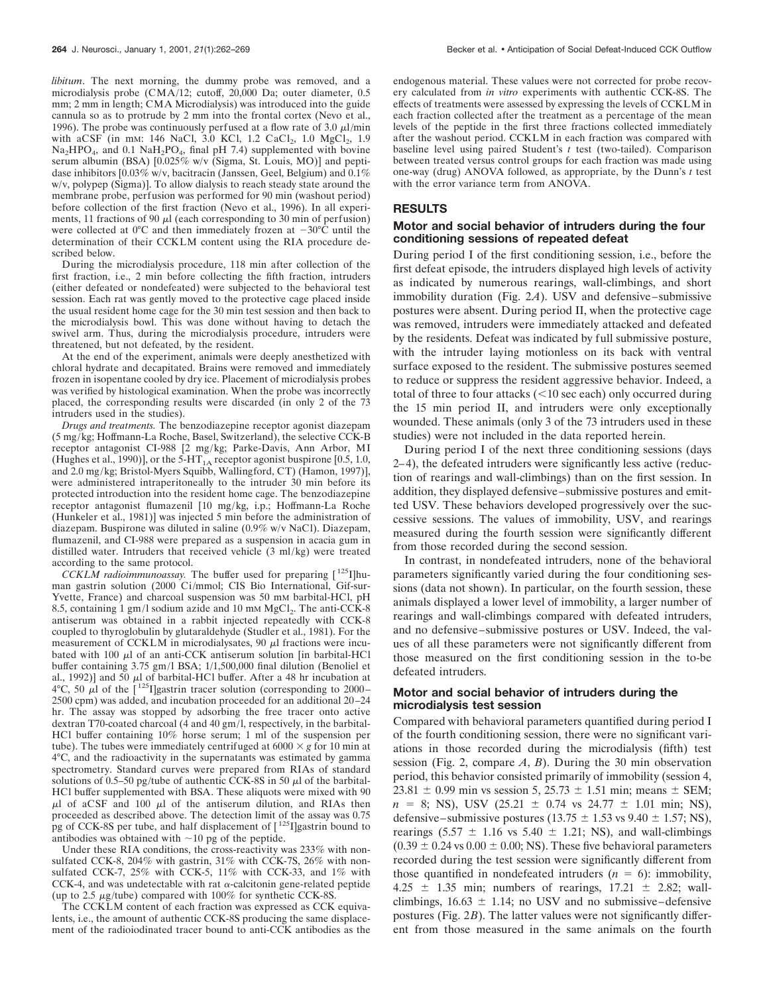*libitum*. The next morning, the dummy probe was removed, and a microdialysis probe (CMA/12; cutoff, 20,000 Da; outer diameter, 0.5 mm; 2 mm in length; CMA Microdialysis) was introduced into the guide cannula so as to protrude by 2 mm into the frontal cortex (Nevo et al., 1996). The probe was continuously perfused at a flow rate of 3.0  $\mu$ l/min with aCSF (in mm: 146 NaCl, 3.0 KCl, 1.2 CaCl<sub>2</sub>, 1.0 MgCl<sub>2</sub>, 1.9  $Na<sub>2</sub>HPO<sub>4</sub>$ , and 0.1 NaH<sub>2</sub>PO<sub>4</sub>, final pH 7.4) supplemented with bovine serum albumin (BSA) [0.025% w/v (Sigma, St. Louis, MO)] and peptidase inhibitors  $[0.03\% \text{ w/v}, \text{bacitracin}$  (Janssen, Geel, Belgium) and  $0.1\%$ w/v, polypep (Sigma)]. To allow dialysis to reach steady state around the membrane probe, perfusion was performed for 90 min (washout period) before collection of the first fraction (Nevo et al., 1996). In all experiments, 11 fractions of 90  $\mu$ l (each corresponding to 30 min of perfusion) were collected at  $0^{\circ}$ C and then immediately frozen at  $-30^{\circ}$ C until the determination of their CCKLM content using the RIA procedure described below.

During the microdialysis procedure, 118 min after collection of the first fraction, i.e., 2 min before collecting the fifth fraction, intruders (either defeated or nondefeated) were subjected to the behavioral test session. Each rat was gently moved to the protective cage placed inside the usual resident home cage for the 30 min test session and then back to the microdialysis bowl. This was done without having to detach the swivel arm. Thus, during the microdialysis procedure, intruders were threatened, but not defeated, by the resident.

At the end of the experiment, animals were deeply anesthetized with chloral hydrate and decapitated. Brains were removed and immediately frozen in isopentane cooled by dry ice. Placement of microdialysis probes was verified by histological examination. When the probe was incorrectly placed, the corresponding results were discarded (in only 2 of the 73 intruders used in the studies).

*Drugs and treatments.* The benzodiazepine receptor agonist diazepam (5 mg/kg; Hoffmann-La Roche, Basel, Switzerland), the selective CCK-B receptor antagonist CI-988 [2 mg/kg; Parke-Davis, Ann Arbor, MI (Hughes et al., 1990)], or the 5-HT<sub>1A</sub> receptor agonist buspirone [0.5, 1.0, and 2.0 mg/kg; Bristol-Myers Squibb, Wallingford, CT) (Hamon, 1997)], were administered intraperitoneally to the intruder 30 min before its protected introduction into the resident home cage. The benzodiazepine receptor antagonist flumazenil [10 mg/kg, i.p.; Hoffmann-La Roche (Hunkeler et al., 1981)] was injected 5 min before the administration of diazepam. Buspirone was diluted in saline (0.9% w/v NaCl). Diazepam, flumazenil, and CI-988 were prepared as a suspension in acacia gum in distilled water. Intruders that received vehicle (3 ml/kg) were treated according to the same protocol.

*CCKLM radioimmunoassay.* The buffer used for preparing [ 125I]human gastrin solution (2000 Ci/mmol; CIS Bio International, Gif-sur-Yvette, France) and charcoal suspension was 50 mm barbital-HCl, pH 8.5, containing 1 gm/l sodium azide and 10 mm  $MgCl<sub>2</sub>$ . The anti-CCK-8 antiserum was obtained in a rabbit injected repeatedly with CCK-8 coupled to thyroglobulin by glutaraldehyde (Studler et al., 1981). For the measurement of CCKLM in microdialysates,  $90 \mu$ l fractions were incubated with  $100 \mu l$  of an anti-CCK antiserum solution [in barbital-HCl buffer containing 3.75 gm/l BSA; 1/1,500,000 final dilution (Benoliel et al., 1992)] and 50  $\mu$ l of barbital-HCl buffer. After a 48 hr incubation at 4°C, 50  $\mu$ l of the [<sup>125</sup>I]gastrin tracer solution (corresponding to 2000– 2500 cpm) was added, and incubation proceeded for an additional 20–24 hr. The assay was stopped by adsorbing the free tracer onto active dextran T70-coated charcoal (4 and 40 gm/l, respectively, in the barbital-HCl buffer containing 10% horse serum; 1 ml of the suspension per tube). The tubes were immediately centrifuged at  $6000 \times g$  for 10 min at 4°C, and the radioactivity in the supernatants was estimated by gamma spectrometry. Standard curves were prepared from RIAs of standard solutions of 0.5–50 pg/tube of authentic CCK-8S in 50  $\mu$ l of the barbital-HCl buffer supplemented with BSA. These aliquots were mixed with 90  $\mu$ l of aCSF and 100  $\mu$ l of the antiserum dilution, and RIAs then proceeded as described above. The detection limit of the assay was 0.75 pg of CCK-8S per tube, and half displacement of  $\lceil 125 \rceil$  gastrin bound to antibodies was obtained with  $\sim$ 10 pg of the peptide.

Under these RIA conditions, the cross-reactivity was 233% with nonsulfated CCK-8, 204% with gastrin, 31% with CCK-7S, 26% with nonsulfated CCK-7, 25% with CCK-5, 11% with CCK-33, and 1% with CCK-4, and was undetectable with rat  $\alpha$ -calcitonin gene-related peptide (up to 2.5  $\mu$ g/tube) compared with 100% for synthetic CCK-8S.

The CCKLM content of each fraction was expressed as CCK equivalents, i.e., the amount of authentic CCK-8S producing the same displacement of the radioiodinated tracer bound to anti-CCK antibodies as the endogenous material. These values were not corrected for probe recovery calculated from *in vitro* experiments with authentic CCK-8S. The effects of treatments were assessed by expressing the levels of CCKLM in each fraction collected after the treatment as a percentage of the mean levels of the peptide in the first three fractions collected immediately after the washout period. CCKLM in each fraction was compared with baseline level using paired Student's *t* test (two-tailed). Comparison between treated versus control groups for each fraction was made using one-way (drug) ANOVA followed, as appropriate, by the Dunn's *t* test with the error variance term from ANOVA.

#### **RESULTS**

### **Motor and social behavior of intruders during the four conditioning sessions of repeated defeat**

During period I of the first conditioning session, i.e., before the first defeat episode, the intruders displayed high levels of activity as indicated by numerous rearings, wall-climbings, and short immobility duration (Fig. 2*A*). USV and defensive–submissive postures were absent. During period II, when the protective cage was removed, intruders were immediately attacked and defeated by the residents. Defeat was indicated by full submissive posture, with the intruder laying motionless on its back with ventral surface exposed to the resident. The submissive postures seemed to reduce or suppress the resident aggressive behavior. Indeed, a total of three to four attacks  $(<10$  sec each) only occurred during the 15 min period II, and intruders were only exceptionally wounded. These animals (only 3 of the 73 intruders used in these studies) were not included in the data reported herein.

During period I of the next three conditioning sessions (days 2–4), the defeated intruders were significantly less active (reduction of rearings and wall-climbings) than on the first session. In addition, they displayed defensive–submissive postures and emitted USV. These behaviors developed progressively over the successive sessions. The values of immobility, USV, and rearings measured during the fourth session were significantly different from those recorded during the second session.

In contrast, in nondefeated intruders, none of the behavioral parameters significantly varied during the four conditioning sessions (data not shown). In particular, on the fourth session, these animals displayed a lower level of immobility, a larger number of rearings and wall-climbings compared with defeated intruders, and no defensive–submissive postures or USV. Indeed, the values of all these parameters were not significantly different from those measured on the first conditioning session in the to-be defeated intruders.

## **Motor and social behavior of intruders during the microdialysis test session**

Compared with behavioral parameters quantified during period I of the fourth conditioning session, there were no significant variations in those recorded during the microdialysis (fifth) test session (Fig. 2, compare *A*, *B*). During the 30 min observation period, this behavior consisted primarily of immobility (session 4, 23.81  $\pm$  0.99 min vs session 5, 25.73  $\pm$  1.51 min; means  $\pm$  SEM;  $n = 8$ ; NS), USV (25.21  $\pm$  0.74 vs 24.77  $\pm$  1.01 min; NS), defensive–submissive postures (13.75  $\pm$  1.53 vs 9.40  $\pm$  1.57; NS), rearings  $(5.57 \pm 1.16 \text{ vs } 5.40 \pm 1.21; \text{ NS})$ , and wall-climbings  $(0.39 \pm 0.24 \text{ vs } 0.00 \pm 0.00; \text{NS})$ . These five behavioral parameters recorded during the test session were significantly different from those quantified in nondefeated intruders  $(n = 6)$ : immobility, 4.25  $\pm$  1.35 min; numbers of rearings, 17.21  $\pm$  2.82; wallclimbings,  $16.63 \pm 1.14$ ; no USV and no submissive–defensive postures (Fig. 2*B*). The latter values were not significantly different from those measured in the same animals on the fourth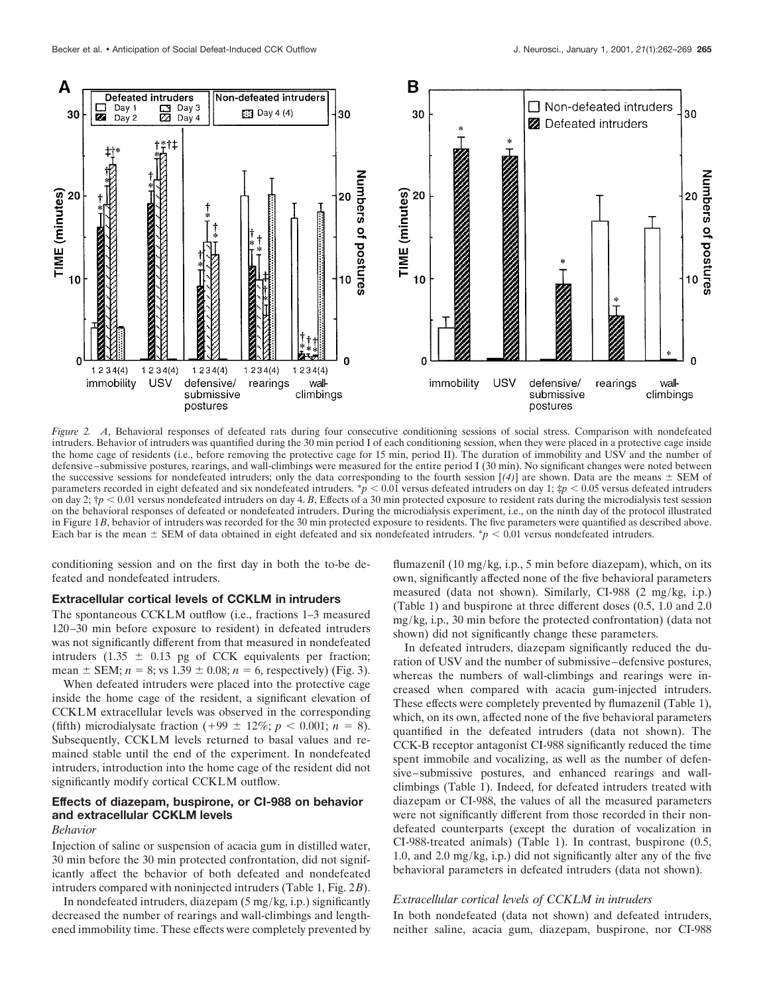

*Figure 2. A*, Behavioral responses of defeated rats during four consecutive conditioning sessions of social stress. Comparison with nondefeated intruders. Behavior of intruders was quantified during the 30 min period I of each conditioning session, when they were placed in a protective cage inside the home cage of residents (i.e., before removing the protective cage for 15 min, period II). The duration of immobility and USV and the number of defensive–submissive postures, rearings, and wall-climbings were measured for the entire period I (30 min). No significant changes were noted between the successive sessions for nondefeated intruders; only the data corresponding to the fourth session  $[(4)]$  are shown. Data are the means  $\pm$  SEM of parameters recorded in eight defeated and six nondefeated intruders.  $\dot{p}$  < 0.01 versus defeated intruders on day 1;  $\dot{p}$  < 0.05 versus defeated intruders on day 2;  $\uparrow p$  < 0.01 versus nondefeated intruders on day 4. *B*, Effects of a 30 min protected exposure to resident rats during the microdialysis test session on the behavioral responses of defeated or nondefeated intruders. During the microdialysis experiment, i.e., on the ninth day of the protocol illustrated in Figure 1*B*, behavior of intruders was recorded for the 30 min protected exposure to residents. The five parameters were quantified as described above. Each bar is the mean  $\pm$  SEM of data obtained in eight defeated and six nondefeated intruders.  $\dot{\gamma}$   $\epsilon$  0.01 versus nondefeated intruders.

conditioning session and on the first day in both the to-be defeated and nondefeated intruders.

## **Extracellular cortical levels of CCKLM in intruders**

The spontaneous CCKLM outflow (i.e., fractions 1–3 measured 120–30 min before exposure to resident) in defeated intruders was not significantly different from that measured in nondefeated intruders (1.35  $\pm$  0.13 pg of CCK equivalents per fraction; mean  $\pm$  SEM; *n* = 8; vs 1.39  $\pm$  0.08; *n* = 6, respectively) (Fig. 3).

When defeated intruders were placed into the protective cage inside the home cage of the resident, a significant elevation of CCKLM extracellular levels was observed in the corresponding (fifth) microdialysate fraction (+99  $\pm$  12%; *p* < 0.001; *n* = 8). Subsequently, CCKLM levels returned to basal values and remained stable until the end of the experiment. In nondefeated intruders, introduction into the home cage of the resident did not significantly modify cortical CCKLM outflow.

## **Effects of diazepam, buspirone, or CI-988 on behavior and extracellular CCKLM levels**

# *Behavior*

Injection of saline or suspension of acacia gum in distilled water, 30 min before the 30 min protected confrontation, did not significantly affect the behavior of both defeated and nondefeated intruders compared with noninjected intruders (Table 1, Fig. 2*B*).

In nondefeated intruders, diazepam (5 mg/kg, i.p.) significantly decreased the number of rearings and wall-climbings and lengthened immobility time. These effects were completely prevented by flumazenil (10 mg/kg, i.p., 5 min before diazepam), which, on its own, significantly affected none of the five behavioral parameters measured (data not shown). Similarly, CI-988 (2 mg/kg, i.p.) (Table 1) and buspirone at three different doses (0.5, 1.0 and 2.0 mg/kg, i.p., 30 min before the protected confrontation) (data not shown) did not significantly change these parameters.

In defeated intruders, diazepam significantly reduced the duration of USV and the number of submissive–defensive postures, whereas the numbers of wall-climbings and rearings were increased when compared with acacia gum-injected intruders. These effects were completely prevented by flumazenil (Table 1), which, on its own, affected none of the five behavioral parameters quantified in the defeated intruders (data not shown). The CCK-B receptor antagonist CI-988 significantly reduced the time spent immobile and vocalizing, as well as the number of defensive–submissive postures, and enhanced rearings and wallclimbings (Table 1). Indeed, for defeated intruders treated with diazepam or CI-988, the values of all the measured parameters were not significantly different from those recorded in their nondefeated counterparts (except the duration of vocalization in CI-988-treated animals) (Table 1). In contrast, buspirone (0.5, 1.0, and 2.0 mg/kg, i.p.) did not significantly alter any of the five behavioral parameters in defeated intruders (data not shown).

#### *Extracellular cortical levels of CCKLM in intruders*

In both nondefeated (data not shown) and defeated intruders, neither saline, acacia gum, diazepam, buspirone, nor CI-988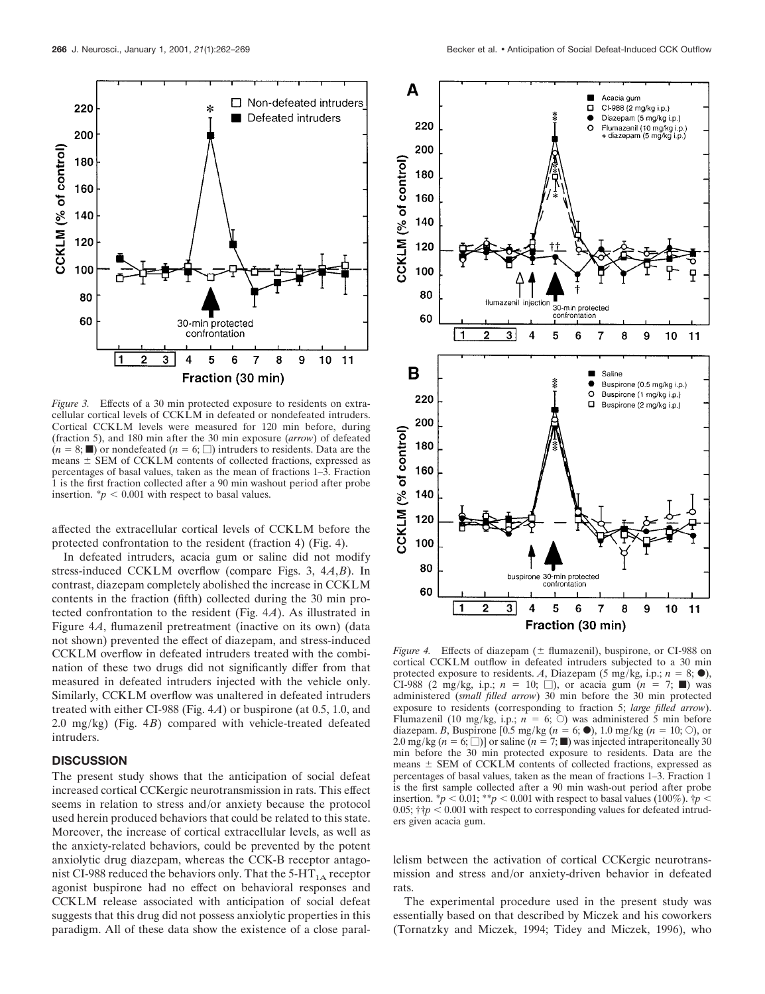220

200

180

160

140

120

100

80

60

CCKLM (% of control)

Fraction (30 min) *Figure 3.* Effects of a 30 min protected exposure to residents on extracellular cortical levels of CCKLM in defeated or nondefeated intruders. Cortical CCKLM levels were measured for 120 min before, during (fraction 5), and 180 min after the 30 min exposure (*arrow*) of defeated  $(n = 8; \blacksquare)$  or nondefeated  $(n = 6; \square)$  intruders to residents. Data are the means  $\pm$  SEM of CCKLM contents of collected fractions, expressed as percentages of basal values, taken as the mean of fractions 1–3. Fraction 1 is the first fraction collected after a 90 min washout period after probe insertion.  $\dot{p}$  < 0.001 with respect to basal values.

30-min protected confrontation

> 5 6 7

 $\overline{\mathbf{3}}$ 

4

 $\star$ 

 $\Box$  Non-defeated intruders

9 10  $11$ 

8

Defeated intruders

affected the extracellular cortical levels of CCKLM before the protected confrontation to the resident (fraction 4) (Fig. 4).

In defeated intruders, acacia gum or saline did not modify stress-induced CCKLM overflow (compare Figs. 3, 4*A*,*B*). In contrast, diazepam completely abolished the increase in CCKLM contents in the fraction (fifth) collected during the 30 min protected confrontation to the resident (Fig. 4*A*). As illustrated in Figure 4*A*, flumazenil pretreatment (inactive on its own) (data not shown) prevented the effect of diazepam, and stress-induced CCKLM overflow in defeated intruders treated with the combination of these two drugs did not significantly differ from that measured in defeated intruders injected with the vehicle only. Similarly, CCKLM overflow was unaltered in defeated intruders treated with either CI-988 (Fig. 4*A*) or buspirone (at 0.5, 1.0, and 2.0 mg/kg) (Fig. 4*B*) compared with vehicle-treated defeated intruders.

### **DISCUSSION**

The present study shows that the anticipation of social defeat increased cortical CCKergic neurotransmission in rats. This effect seems in relation to stress and/or anxiety because the protocol used herein produced behaviors that could be related to this state. Moreover, the increase of cortical extracellular levels, as well as the anxiety-related behaviors, could be prevented by the potent anxiolytic drug diazepam, whereas the CCK-B receptor antagonist CI-988 reduced the behaviors only. That the  $5-HT<sub>1A</sub>$  receptor agonist buspirone had no effect on behavioral responses and CCKLM release associated with anticipation of social defeat suggests that this drug did not possess anxiolytic properties in this paradigm. All of these data show the existence of a close paral-



*Figure 4.* Effects of diazepam  $(\pm \text{ flumazenil})$ , buspirone, or CI-988 on cortical CCKLM outflow in defeated intruders subjected to a 30 min protected exposure to residents. A, Diazepam (5 mg/kg, i.p.;  $n = 8$ ;  $\bullet$ ), CI-988 (2 mg/kg, i.p.;  $n = 10;$  M), or acacia gum  $(n = 7; \blacksquare)$  was administered (*small filled arrow*) 30 min before the 30 min protected exposure to residents (corresponding to fraction 5; *large filled arrow*). Flumazenil (10 mg/kg, i.p.;  $n = 6$ ;  $\circ$ ) was administered 5 min before diazepam. *B*, Buspirone [0.5 mg/kg ( $n = 6$ ;  $\bullet$ ), 1.0 mg/kg ( $n = 10$ ;  $\circ$ ), or 2.0 mg/kg  $(n = 6; \Box)$ ] or saline  $(n = 7; \blacksquare)$  was injected intraperitoneally 30 min before the 30 min protected exposure to residents. Data are the means  $\pm$  SEM of CCKLM contents of collected fractions, expressed as percentages of basal values, taken as the mean of fractions 1–3. Fraction 1 is the first sample collected after a 90 min wash-out period after probe insertion.  $\degree p$  < 0.01;  $\degree \degree p$  < 0.001 with respect to basal values (100%).  $\degree p$  < 0.05;  $\dagger$ *†p* < 0.001 with respect to corresponding values for defeated intruders given acacia gum.

lelism between the activation of cortical CCKergic neurotransmission and stress and/or anxiety-driven behavior in defeated rats.

The experimental procedure used in the present study was essentially based on that described by Miczek and his coworkers (Tornatzky and Miczek, 1994; Tidey and Miczek, 1996), who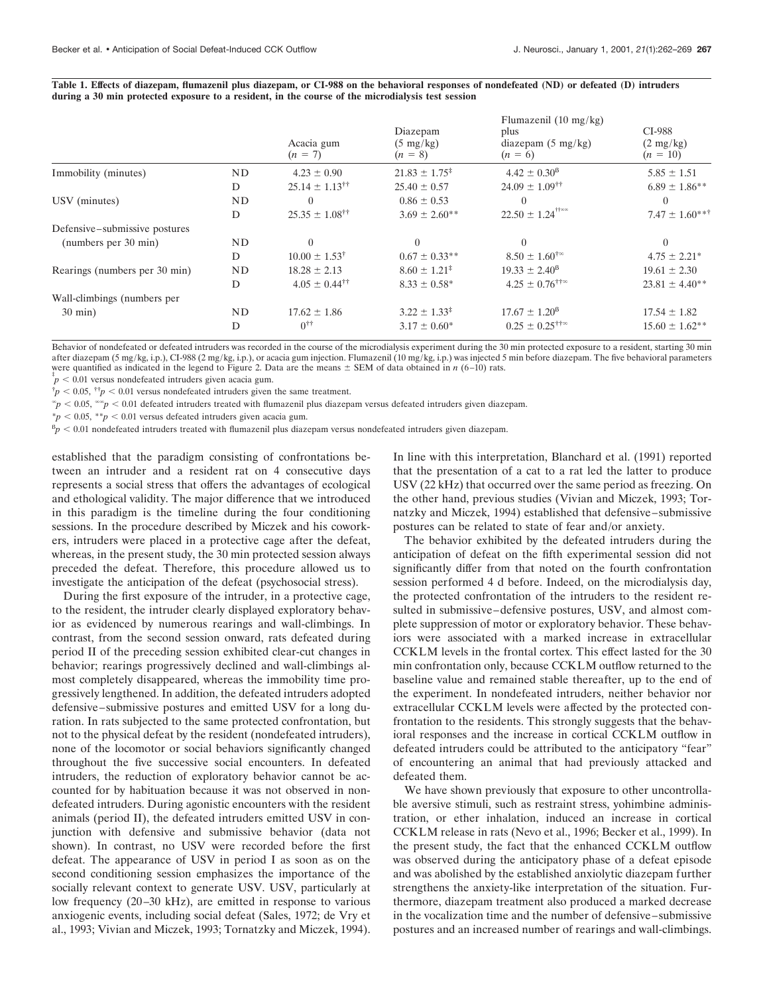|                               |    | Acacia gum<br>$(n = 7)$           | Diazepam<br>$(5 \text{ mg/kg})$<br>$(n = 8)$ | Flumazenil $(10 \text{ mg/kg})$<br>plus<br>diazepam $(5 \text{ mg/kg})$<br>$(n = 6)$ | CI-988<br>$(2 \text{ mg/kg})$<br>$(n = 10)$ |
|-------------------------------|----|-----------------------------------|----------------------------------------------|--------------------------------------------------------------------------------------|---------------------------------------------|
| Immobility (minutes)          | ND | $4.23 \pm 0.90$                   | $21.83 \pm 1.75^*$                           | $4.42 \pm 0.30^8$                                                                    | $5.85 \pm 1.51$                             |
|                               | D  | $25.14 \pm 1.13^{\dagger\dagger}$ | $25.40 \pm 0.57$                             | $24.09 \pm 1.09^{\dagger\dagger}$                                                    | $6.89 \pm 1.86$ **                          |
| USV (minutes)                 | ND |                                   | $0.86 \pm 0.53$                              | 0                                                                                    | $\theta$                                    |
|                               | D  | $25.35 \pm 1.08^{\dagger\dagger}$ | $3.69 \pm 2.60$ **                           | $22.50 \pm 1.24$ <sup>††∞∞</sup>                                                     | $7.47 \pm 1.60***$                          |
| Defensive–submissive postures |    |                                   |                                              |                                                                                      |                                             |
| (numbers per 30 min)          | ND | $\Omega$                          | $\theta$                                     | $\Omega$                                                                             | $\left($                                    |
|                               | D  | $10.00 \pm 1.53^{\dagger}$        | $0.67 \pm 0.33$ **                           | $8.50 \pm 1.60^{4}$                                                                  | $4.75 \pm 2.21^*$                           |
| Rearings (numbers per 30 min) | ND | $18.28 \pm 2.13$                  | $8.60 \pm 1.21^{\ddagger}$                   | $19.33 \pm 2.40^8$                                                                   | $19.61 \pm 2.30$                            |
|                               | D  | $4.05 \pm 0.44^{\dagger\dagger}$  | $8.33 \pm 0.58^*$                            | $4.25 \pm 0.76$ <sup>††∞</sup>                                                       | $23.81 \pm 4.40**$                          |
| Wall-climbings (numbers per   |    |                                   |                                              |                                                                                      |                                             |
| $30 \text{ min}$ )            | ND | $17.62 \pm 1.86$                  | $3.22 \pm 1.33^{\ddagger}$                   | $17.67 \pm 1.20^8$                                                                   | $17.54 \pm 1.82$                            |
|                               | D  | $0^{\dagger\dagger}$              | $3.17 \pm 0.60^*$                            | $0.25 \pm 0.25$ <sup>††∞</sup>                                                       | $15.60 \pm 1.62$ **                         |

**Table 1. Effects of diazepam, flumazenil plus diazepam, or CI-988 on the behavioral responses of nondefeated (ND) or defeated (D) intruders during a 30 min protected exposure to a resident, in the course of the microdialysis test session**

Behavior of nondefeated or defeated intruders was recorded in the course of the microdialysis experiment during the 30 min protected exposure to a resident, starting 30 min after diazepam (5 mg/kg, i.p.), CI-988 (2 mg/kg, i.p.), or acacia gum injection. Flumazenil (10 mg/kg, i.p.) was injected 5 min before diazepam. The five behavioral parameters were quantified as indicated in the legend to Figure 2. Data are the means  $\pm$  SEM of data obtained in *n* (6–10) rats.

 $\dot{p}$  < 0.01 versus nondefeated intruders given acacia gum.

 $\phi^{\dagger} p < 0.05$ ,  $\phi^{\dagger} p < 0.01$  versus nondefeated intruders given the same treatment.

 $\epsilon_p$  < 0.05,  $\epsilon_p$  < 0.01 defeated intruders treated with flumazenil plus diazepam versus defeated intruders given diazepam.

 $*p < 0.05$ ,  $* p < 0.01$  versus defeated intruders given acacia gum.

 $\beta_p < 0.01$  nondefeated intruders treated with flumazenil plus diazepam versus nondefeated intruders given diazepam.

established that the paradigm consisting of confrontations between an intruder and a resident rat on 4 consecutive days represents a social stress that offers the advantages of ecological and ethological validity. The major difference that we introduced in this paradigm is the timeline during the four conditioning sessions. In the procedure described by Miczek and his coworkers, intruders were placed in a protective cage after the defeat, whereas, in the present study, the 30 min protected session always preceded the defeat. Therefore, this procedure allowed us to investigate the anticipation of the defeat (psychosocial stress).

During the first exposure of the intruder, in a protective cage, to the resident, the intruder clearly displayed exploratory behavior as evidenced by numerous rearings and wall-climbings. In contrast, from the second session onward, rats defeated during period II of the preceding session exhibited clear-cut changes in behavior; rearings progressively declined and wall-climbings almost completely disappeared, whereas the immobility time progressively lengthened. In addition, the defeated intruders adopted defensive–submissive postures and emitted USV for a long duration. In rats subjected to the same protected confrontation, but not to the physical defeat by the resident (nondefeated intruders), none of the locomotor or social behaviors significantly changed throughout the five successive social encounters. In defeated intruders, the reduction of exploratory behavior cannot be accounted for by habituation because it was not observed in nondefeated intruders. During agonistic encounters with the resident animals (period II), the defeated intruders emitted USV in conjunction with defensive and submissive behavior (data not shown). In contrast, no USV were recorded before the first defeat. The appearance of USV in period I as soon as on the second conditioning session emphasizes the importance of the socially relevant context to generate USV. USV, particularly at low frequency (20–30 kHz), are emitted in response to various anxiogenic events, including social defeat (Sales, 1972; de Vry et al., 1993; Vivian and Miczek, 1993; Tornatzky and Miczek, 1994).

In line with this interpretation, Blanchard et al. (1991) reported that the presentation of a cat to a rat led the latter to produce USV (22 kHz) that occurred over the same period as freezing. On the other hand, previous studies (Vivian and Miczek, 1993; Tornatzky and Miczek, 1994) established that defensive–submissive postures can be related to state of fear and/or anxiety.

The behavior exhibited by the defeated intruders during the anticipation of defeat on the fifth experimental session did not significantly differ from that noted on the fourth confrontation session performed 4 d before. Indeed, on the microdialysis day, the protected confrontation of the intruders to the resident resulted in submissive–defensive postures, USV, and almost complete suppression of motor or exploratory behavior. These behaviors were associated with a marked increase in extracellular CCKLM levels in the frontal cortex. This effect lasted for the 30 min confrontation only, because CCKLM outflow returned to the baseline value and remained stable thereafter, up to the end of the experiment. In nondefeated intruders, neither behavior nor extracellular CCKLM levels were affected by the protected confrontation to the residents. This strongly suggests that the behavioral responses and the increase in cortical CCKLM outflow in defeated intruders could be attributed to the anticipatory "fear" of encountering an animal that had previously attacked and defeated them.

We have shown previously that exposure to other uncontrollable aversive stimuli, such as restraint stress, yohimbine administration, or ether inhalation, induced an increase in cortical CCKLM release in rats (Nevo et al., 1996; Becker et al., 1999). In the present study, the fact that the enhanced CCKLM outflow was observed during the anticipatory phase of a defeat episode and was abolished by the established anxiolytic diazepam further strengthens the anxiety-like interpretation of the situation. Furthermore, diazepam treatment also produced a marked decrease in the vocalization time and the number of defensive–submissive postures and an increased number of rearings and wall-climbings.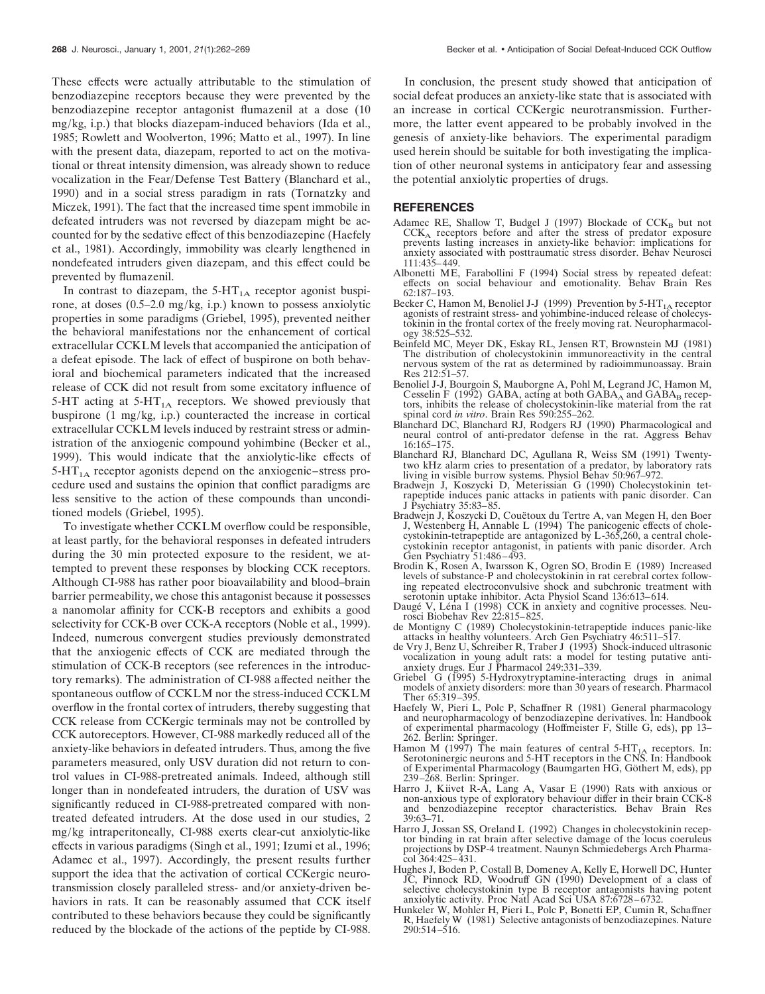These effects were actually attributable to the stimulation of benzodiazepine receptors because they were prevented by the benzodiazepine receptor antagonist flumazenil at a dose (10 mg/kg, i.p.) that blocks diazepam-induced behaviors (Ida et al., 1985; Rowlett and Woolverton, 1996; Matto et al., 1997). In line with the present data, diazepam, reported to act on the motivational or threat intensity dimension, was already shown to reduce vocalization in the Fear/Defense Test Battery (Blanchard et al., 1990) and in a social stress paradigm in rats (Tornatzky and Miczek, 1991). The fact that the increased time spent immobile in defeated intruders was not reversed by diazepam might be accounted for by the sedative effect of this benzodiazepine (Haefely et al., 1981). Accordingly, immobility was clearly lengthened in nondefeated intruders given diazepam, and this effect could be prevented by flumazenil.

In contrast to diazepam, the  $5-HT<sub>1A</sub>$  receptor agonist buspirone, at doses (0.5–2.0 mg/kg, i.p.) known to possess anxiolytic properties in some paradigms (Griebel, 1995), prevented neither the behavioral manifestations nor the enhancement of cortical extracellular CCKLM levels that accompanied the anticipation of a defeat episode. The lack of effect of buspirone on both behavioral and biochemical parameters indicated that the increased release of CCK did not result from some excitatory influence of 5-HT acting at  $5$ -HT<sub>1A</sub> receptors. We showed previously that buspirone (1 mg/kg, i.p.) counteracted the increase in cortical extracellular CCKLM levels induced by restraint stress or administration of the anxiogenic compound yohimbine (Becker et al., 1999). This would indicate that the anxiolytic-like effects of  $5-HT<sub>1A</sub>$  receptor agonists depend on the anxiogenic–stress procedure used and sustains the opinion that conflict paradigms are less sensitive to the action of these compounds than unconditioned models (Griebel, 1995).

To investigate whether CCKLM overflow could be responsible, at least partly, for the behavioral responses in defeated intruders during the 30 min protected exposure to the resident, we attempted to prevent these responses by blocking CCK receptors. Although CI-988 has rather poor bioavailability and blood–brain barrier permeability, we chose this antagonist because it possesses a nanomolar affinity for CCK-B receptors and exhibits a good selectivity for CCK-B over CCK-A receptors (Noble et al., 1999). Indeed, numerous convergent studies previously demonstrated that the anxiogenic effects of CCK are mediated through the stimulation of CCK-B receptors (see references in the introductory remarks). The administration of CI-988 affected neither the spontaneous outflow of CCKLM nor the stress-induced CCKLM overflow in the frontal cortex of intruders, thereby suggesting that CCK release from CCKergic terminals may not be controlled by CCK autoreceptors. However, CI-988 markedly reduced all of the anxiety-like behaviors in defeated intruders. Thus, among the five parameters measured, only USV duration did not return to control values in CI-988-pretreated animals. Indeed, although still longer than in nondefeated intruders, the duration of USV was significantly reduced in CI-988-pretreated compared with nontreated defeated intruders. At the dose used in our studies, 2 mg/kg intraperitoneally, CI-988 exerts clear-cut anxiolytic-like effects in various paradigms (Singh et al., 1991; Izumi et al., 1996; Adamec et al., 1997). Accordingly, the present results further support the idea that the activation of cortical CCKergic neurotransmission closely paralleled stress- and/or anxiety-driven behaviors in rats. It can be reasonably assumed that CCK itself contributed to these behaviors because they could be significantly reduced by the blockade of the actions of the peptide by CI-988.

In conclusion, the present study showed that anticipation of social defeat produces an anxiety-like state that is associated with an increase in cortical CCKergic neurotransmission. Furthermore, the latter event appeared to be probably involved in the genesis of anxiety-like behaviors. The experimental paradigm used herein should be suitable for both investigating the implication of other neuronal systems in anticipatory fear and assessing the potential anxiolytic properties of drugs.

## **REFERENCES**

- Adamec RE, Shallow T, Budgel J (1997) Blockade of  $CCK_B$  but not  $CCK<sub>A</sub>$  receptors before and after the stress of predator exposure prevents lasting increases in anxiety-like behavior: implications for anxiety associated with posttraumatic stress disorder. Behav Neurosci 111:435–449.
- Albonetti ME, Farabollini F (1994) Social stress by repeated defeat: effects on social behaviour and emotionality. Behav Brain Res 62:187–193.
- Becker C, Hamon M, Benoliel J-J (1999) Prevention by  $5-HT<sub>1A</sub>$  receptor agonists of restraint stress- and yohimbine-induced release of cholecystokinin in the frontal cortex of the freely moving rat. Neuropharmacology 38:525–532.
- Beinfeld MC, Meyer DK, Eskay RL, Jensen RT, Brownstein MJ (1981) The distribution of cholecystokinin immunoreactivity in the central nervous system of the rat as determined by radioimmunoassay. Brain Res 212:51–57.
- Benoliel J-J, Bourgoin S, Mauborgne A, Pohl M, Legrand JC, Hamon M, Cesselin F (1992) GABA, acting at both  $GABA_A$  and  $GABA_B$  receptors, inhibits the release of cholecystokinin-like material from the rat spinal cord *in vitro*. Brain Res 590:255–262.
- Blanchard DC, Blanchard RJ, Rodgers RJ (1990) Pharmacological and neural control of anti-predator defense in the rat. Aggress Behav 16:165–175.
- Blanchard RJ, Blanchard DC, Agullana R, Weiss SM (1991) Twentytwo kHz alarm cries to presentation of a predator, by laboratory rats living in visible burrow systems. Physiol Behav 50:967–972.
- Bradwejn J, Koszycki D, Meterissian G (1990) Cholecystokinin tetrapeptide induces panic attacks in patients with panic disorder. Can J Psychiatry 35:83–85.
- Bradwejn J, Koszycki D, Couëtoux du Tertre A, van Megen H, den Boer J, Westenberg H, Annable L (1994) The panicogenic effects of cholecystokinin-tetrapeptide are antagonized by  $L$ -365,260, a central cholecystokinin receptor antagonist, in patients with panic disorder. Arch Gen Psychiatry 51:486–493.
- Brodin K, Rosen A, Iwarsson K, Ogren SO, Brodin E (1989) Increased levels of substance-P and cholecystokinin in rat cerebral cortex following repeated electroconvulsive shock and subchronic treatment with serotonin uptake inhibitor. Acta Physiol Scand 136:613–614.
- Daugé V, Léna I (1998) CCK in anxiety and cognitive processes. Neurosci Biobehav Rev 22:815–825.
- de Montigny C (1989) Cholecystokinin-tetrapeptide induces panic-like attacks in healthy volunteers. Arch Gen Psychiatry 46:511–517.
- de Vry J, Benz U, Schreiber R, Traber J (1993) Shock-induced ultrasonic vocalization in young adult rats: a model for testing putative antianxiety drugs. Eur J Pharmacol 249:331–339.
- Griebel G (1995) 5-Hydroxytryptamine-interacting drugs in animal models of anxiety disorders: more than 30 years of research. Pharmacol Ther 65:319–395.
- Haefely W, Pieri L, Polc P, Schaffner R (1981) General pharmacology and neuropharmacology of benzodiazepine derivatives. In: Handbook of experimental pharmacology (Hoffmeister F, Stille G, eds), pp 13– 262. Berlin: Springer.
- Hamon M (1997) The main features of central  $5-HT_{1A}$  receptors. In: Serotoninergic neurons and  $5-HT$  receptors in the CNS. In: Handbook of Experimental Pharmacology (Baumgarten HG, Göthert M, eds), pp 239–268. Berlin: Springer.
- Harro J, Kiivet R-A, Lang A, Vasar E (1990) Rats with anxious or non-anxious type of exploratory behaviour differ in their brain CCK-8 and benzodiazepine receptor characteristics. Behav Brain Res 39:63–71.
- Harro J, Jossan SS, Oreland L (1992) Changes in cholecystokinin receptor binding in rat brain after selective damage of the locus coeruleus projections by DSP-4 treatment. Naunyn Schmiedebergs Arch Pharmacol 364:425–431.
- Hughes J, Boden P, Costall B, Domeney A, Kelly E, Horwell DC, Hunter JC, Pinnock RD, Woodruff GN (1990) Development of a class of selective cholecystokinin type B receptor antagonists having potent anxiolytic activity. Proc Natl Acad Sci USA 87:6728–6732.
- Hunkeler W, Mohler H, Pieri L, Polc P, Bonetti EP, Cumin R, Schaffner R, Haefely W (1981) Selective antagonists of benzodiazepines. Nature 290:514–516.